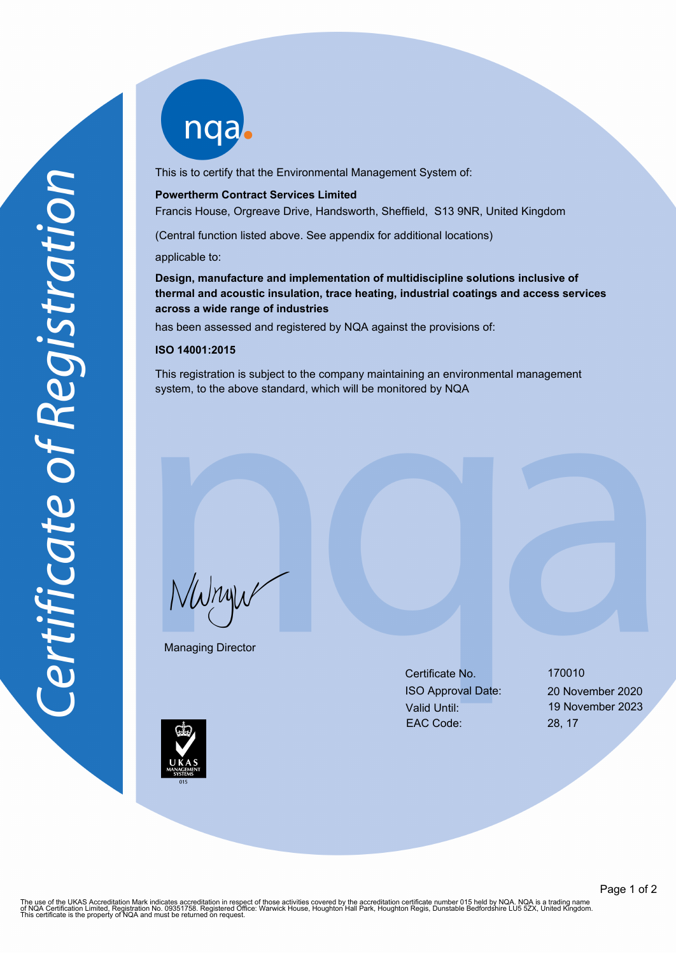nqab

This is to certify that the Environmental Management System of:

#### **Powertherm Contract Services Limited**

Francis House, Orgreave Drive, Handsworth, Sheffield, S13 9NR, United Kingdom

(Central function listed above. See appendix for additional locations)

applicable to:

**Design, manufacture and implementation of multidiscipline solutions inclusive of thermal and acoustic insulation, trace heating, industrial coatings and access services across a wide range of industries**

has been assessed and registered by NQA against the provisions of:

#### **ISO 14001:2015**

This registration is subject to the company maintaining an environmental management system, to the above standard, which will be monitored by NQA

NWnyw

Managing Director

Certificate No. 170010 ISO Approval Date: 20 November 2020 Valid Until: 19 November 2023 EAC Code: 28, 17